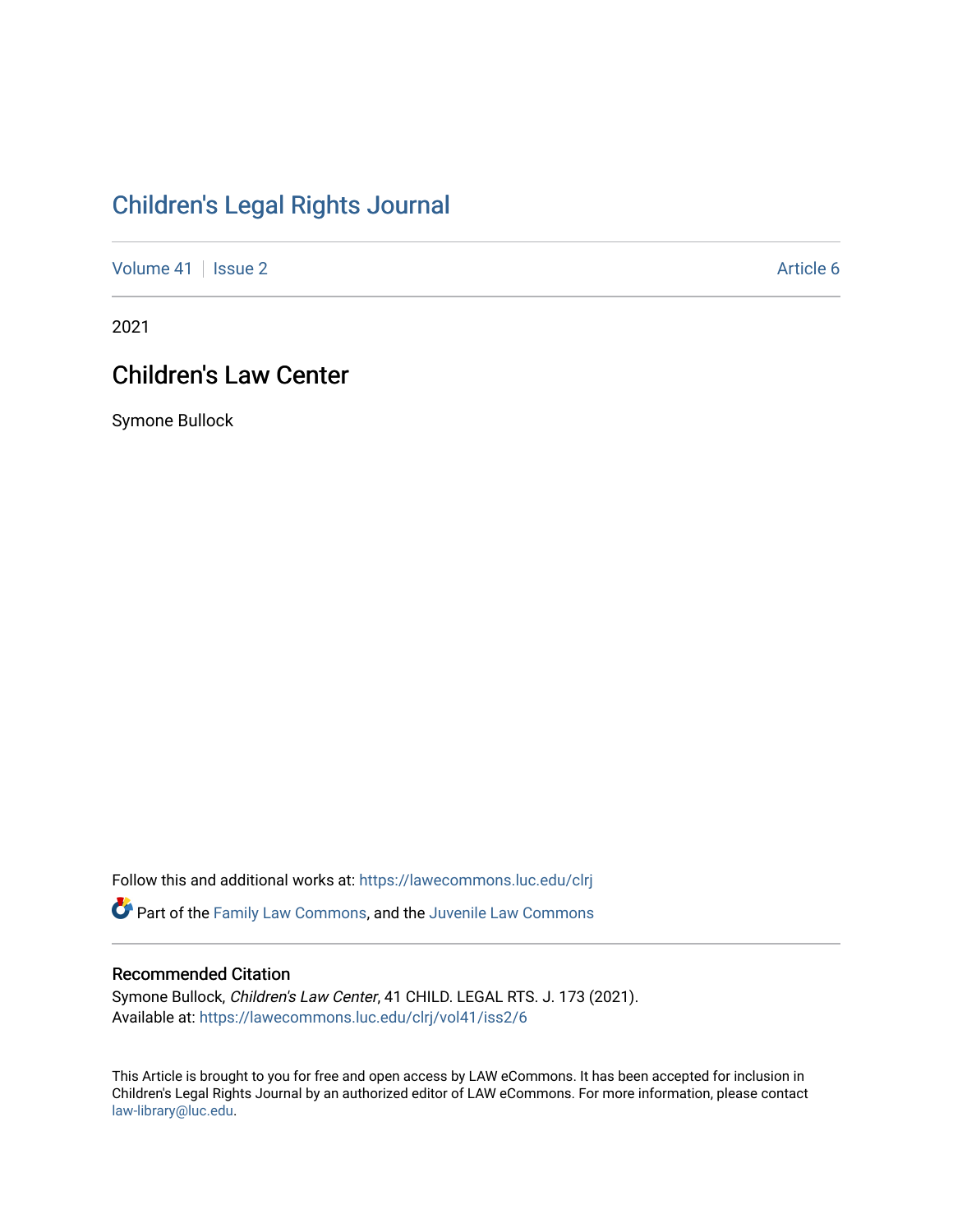# [Children's Legal Rights Journal](https://lawecommons.luc.edu/clrj)

[Volume 41](https://lawecommons.luc.edu/clrj/vol41) | [Issue 2](https://lawecommons.luc.edu/clrj/vol41/iss2) Article 6

2021

# Children's Law Center

Symone Bullock

Follow this and additional works at: [https://lawecommons.luc.edu/clrj](https://lawecommons.luc.edu/clrj?utm_source=lawecommons.luc.edu%2Fclrj%2Fvol41%2Fiss2%2F6&utm_medium=PDF&utm_campaign=PDFCoverPages)

Part of the [Family Law Commons,](http://network.bepress.com/hgg/discipline/602?utm_source=lawecommons.luc.edu%2Fclrj%2Fvol41%2Fiss2%2F6&utm_medium=PDF&utm_campaign=PDFCoverPages) and the [Juvenile Law Commons](http://network.bepress.com/hgg/discipline/851?utm_source=lawecommons.luc.edu%2Fclrj%2Fvol41%2Fiss2%2F6&utm_medium=PDF&utm_campaign=PDFCoverPages) 

#### Recommended Citation

Symone Bullock, Children's Law Center, 41 CHILD. LEGAL RTS. J. 173 (2021). Available at: [https://lawecommons.luc.edu/clrj/vol41/iss2/6](https://lawecommons.luc.edu/clrj/vol41/iss2/6?utm_source=lawecommons.luc.edu%2Fclrj%2Fvol41%2Fiss2%2F6&utm_medium=PDF&utm_campaign=PDFCoverPages) 

This Article is brought to you for free and open access by LAW eCommons. It has been accepted for inclusion in Children's Legal Rights Journal by an authorized editor of LAW eCommons. For more information, please contact [law-library@luc.edu](mailto:law-library@luc.edu).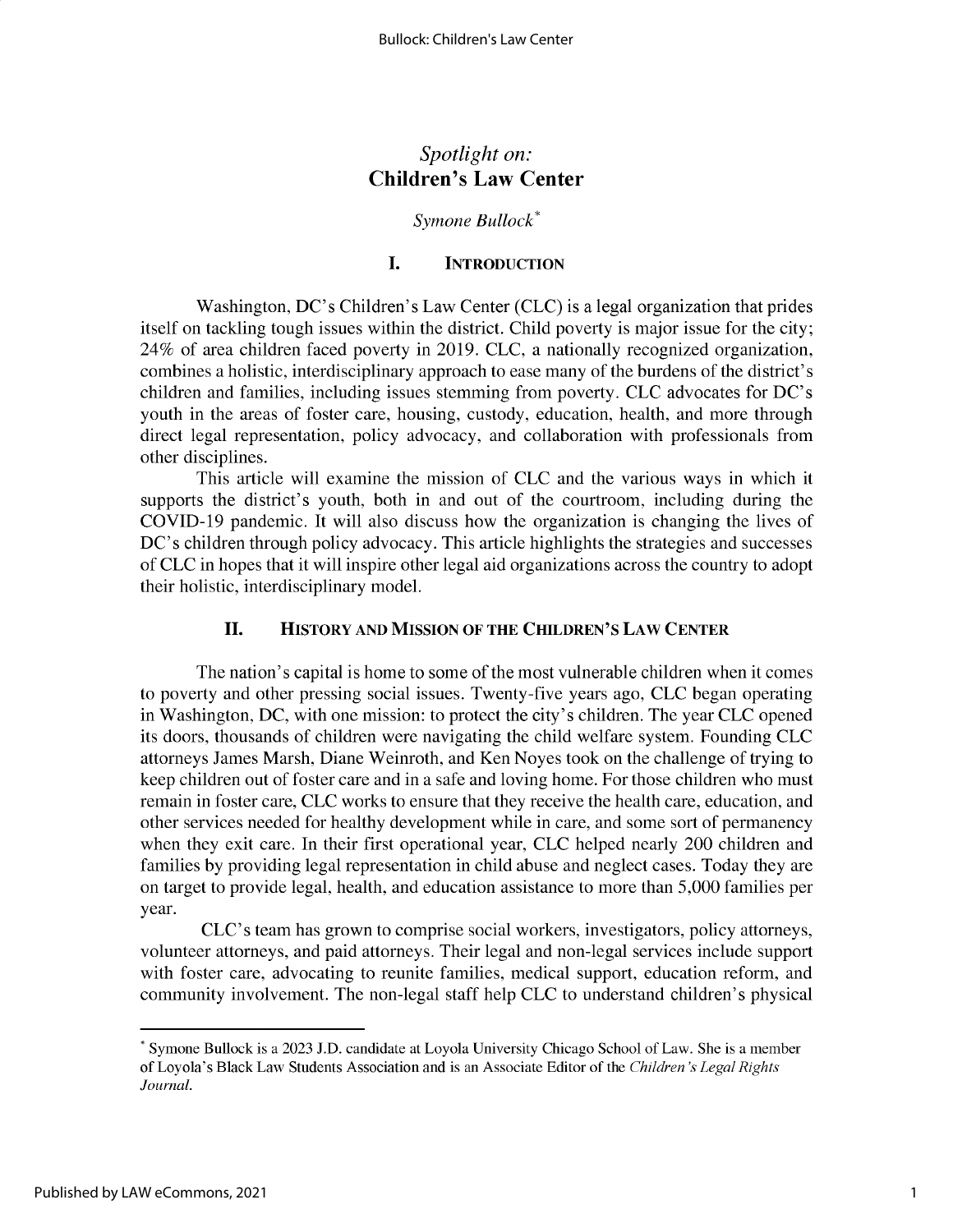## *Spotlight on:* **Children's Law Center**

## *Symone Bullock\**

## **I. INTRODUCTION**

Washington, DC's Children's Law Center (CLC) is a legal organization that prides itself on tackling tough issues within the district. Child poverty is major issue for the city; 24% of area children faced poverty in 2019. CLC, a nationally recognized organization, combines a holistic, interdisciplinary approach to ease many of the burdens of the district's children and families, including issues stemming from poverty. CLC advocates for DC's youth in the areas of foster care, housing, custody, education, health, and more through direct legal representation, policy advocacy, and collaboration with professionals from other disciplines.

This article will examine the mission of CLC and the various ways in which it supports the district's youth, both in and out of the courtroom, including during the COVID-19 pandemic. It will also discuss how the organization is changing the lives of DC's children through policy advocacy. This article highlights the strategies and successes of CLC in hopes that it will inspire other legal aid organizations across the country to adopt their holistic, interdisciplinary model.

## **II. HISTORY AND MISSION OF THE CHILDREN'S LAW CENTER**

The nation's capital is home to some of the most vulnerable children when it comes to poverty and other pressing social issues. Twenty-five years ago, CLC began operating in Washington, DC, with one mission: to protect the city's children. The year CLC opened its doors, thousands of children were navigating the child welfare system. Founding CLC attorneys James Marsh, Diane Weinroth, and Ken Noyes took on the challenge of trying to keep children out of foster care and in a safe and loving home. For those children who must remain in foster care, CLC works to ensure that they receive the health care, education, and other services needed for healthy development while in care, and some sort of permanency when they exit care. In their first operational year, CLC helped nearly 200 children and families by providing legal representation in child abuse and neglect cases. Today they are on target to provide legal, health, and education assistance to more than 5,000 families per year.

CLC's team has grown to comprise social workers, investigators, policy attorneys, volunteer attorneys, and paid attorneys. Their legal and non-legal services include support with foster care, advocating to reunite families, medical support, education reform, and community involvement. The non-legal staff help CLC to understand children's physical

<sup>\*</sup> Symone Bullock is a 2023 **J.D.** candidate at Loyola University Chicago School of Law. She is a member of Loyola's Black Law Students Association and is an Associate Editor of the *Children 's Legal Rights Journal.*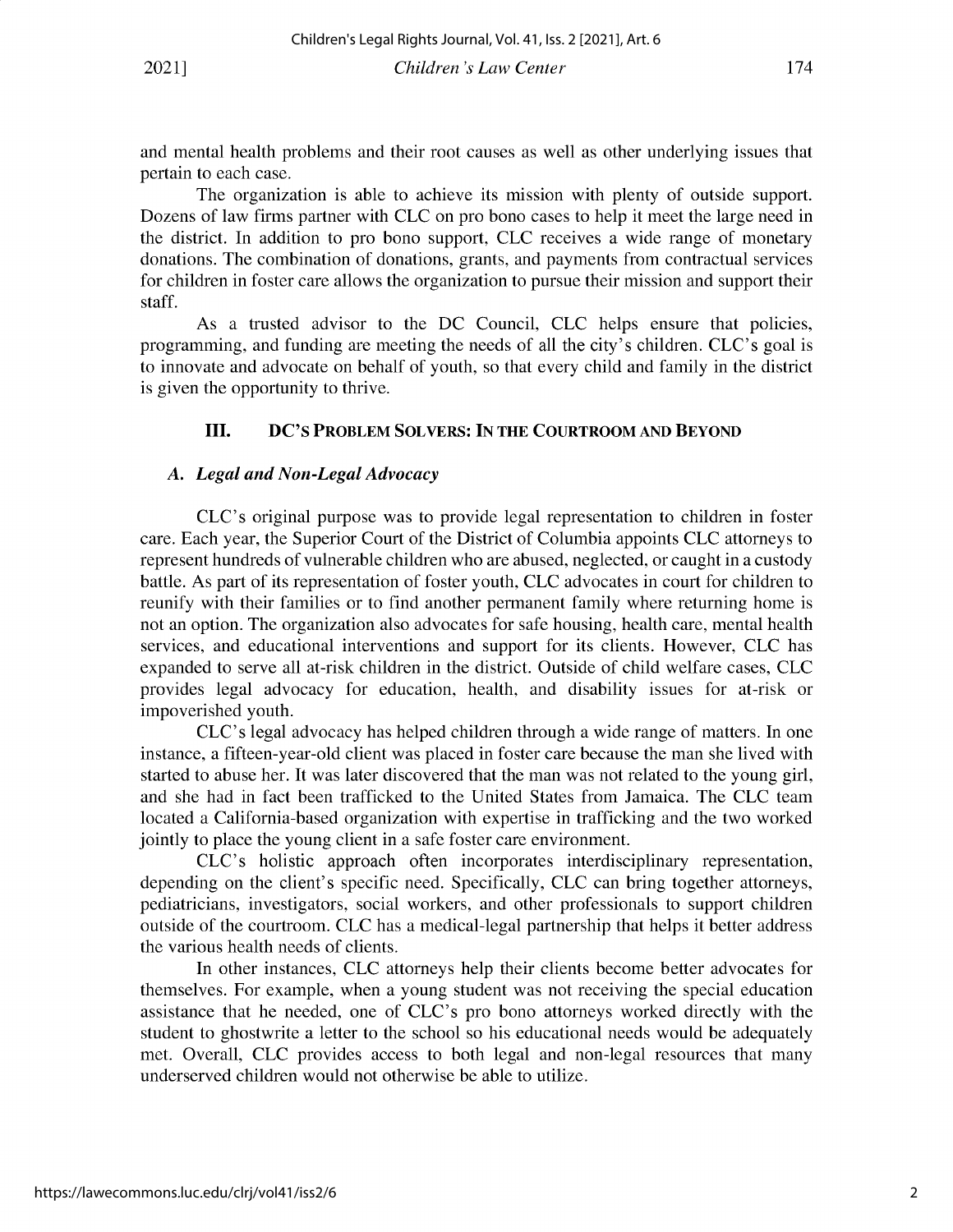and mental health problems and their root causes as well as other underlying issues that pertain to each case.

The organization is able to achieve its mission with plenty of outside support. Dozens of law firms partner with CLC on pro bono cases to help it meet the large need in the district. In addition to pro bono support, CLC receives a wide range of monetary donations. The combination of donations, grants, and payments from contractual services for children in foster care allows the organization to pursue their mission and support their staff.

As a trusted advisor to the DC Council, CLC helps ensure that policies, programming, and funding are meeting the needs of all the city's children. CLC's goal is to innovate and advocate on behalf of youth, so that every child and family in the district is given the opportunity to thrive.

## **III. DC'S PROBLEM SOLVERS: IN THE COURTROOM AND BEYOND**

#### *A. Legal and Non-Legal Advocacy*

CLC's original purpose was to provide legal representation to children in foster care. Each year, the Superior Court of the District of Columbia appoints CLC attorneys to represent hundreds of vulnerable children who are abused, neglected, or caught in a custody battle. As part of its representation of foster youth, CLC advocates in court for children to reunify with their families or to find another permanent family where returning home is not an option. The organization also advocates for safe housing, health care, mental health services, and educational interventions and support for its clients. However, CLC has expanded to serve all at-risk children in the district. Outside of child welfare cases, CLC provides legal advocacy for education, health, and disability issues for at-risk or impoverished youth.

CLC's legal advocacy has helped children through a wide range of matters. In one instance, a fifteen-year-old client was placed in foster care because the man she lived with started to abuse her. It was later discovered that the man was not related to the young girl, and she had in fact been trafficked to the United States from Jamaica. The CLC team located a California-based organization with expertise in trafficking and the two worked jointly to place the young client in a safe foster care environment.

CLC's holistic approach often incorporates interdisciplinary representation, depending on the client's specific need. Specifically, CLC can bring together attorneys, pediatricians, investigators, social workers, and other professionals to support children outside of the courtroom. CLC has a medical-legal partnership that helps it better address the various health needs of clients.

In other instances, CLC attorneys help their clients become better advocates for themselves. For example, when a young student was not receiving the special education assistance that he needed, one of CLC's pro bono attorneys worked directly with the student to ghostwrite a letter to the school so his educational needs would be adequately met. Overall, CLC provides access to both legal and non-legal resources that many underserved children would not otherwise be able to utilize.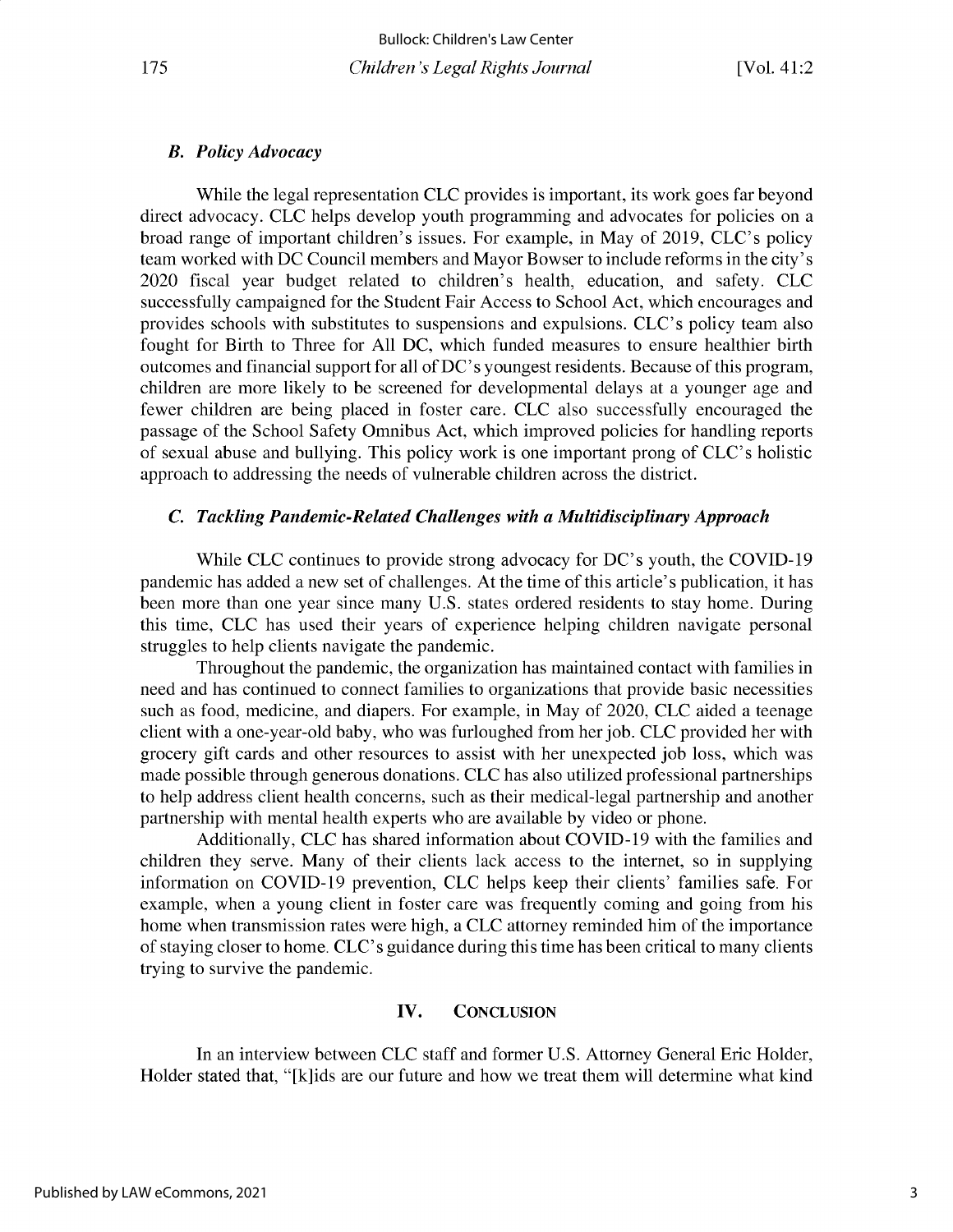#### *B. Policy Advocacy*

While the legal representation CLC provides is important, its work goes far beyond direct advocacy. CLC helps develop youth programming and advocates for policies on a broad range of important children's issues. For example, in May of 2019, CLC's policy team worked with DC Council members and Mayor Bowser to include reforms in the city's 2020 fiscal year budget related to children's health, education, and safety. CLC successfully campaigned for the Student Fair Access to School Act, which encourages and provides schools with substitutes to suspensions and expulsions. CLC's policy team also fought for Birth to Three for All DC, which funded measures to ensure healthier birth outcomes and financial support for all of DC's youngest residents. Because of this program, children are more likely to be screened for developmental delays at a younger age and fewer children are being placed in foster care. CLC also successfully encouraged the passage of the School Safety Omnibus Act, which improved policies for handling reports of sexual abuse and bullying. This policy work is one important prong of CLC's holistic approach to addressing the needs of vulnerable children across the district.

## *C. Tackling Pandemic-Related Challenges with a Multidisciplinary Approach*

While CLC continues to provide strong advocacy for DC's youth, the COVID-19 pandemic has added a new set of challenges. At the time of this article's publication, it has been more than one year since many U.S. states ordered residents to stay home. During this time, CLC has used their years of experience helping children navigate personal struggles to help clients navigate the pandemic.

Throughout the pandemic, the organization has maintained contact with families in need and has continued to connect families to organizations that provide basic necessities such as food, medicine, and diapers. For example, in May of 2020, CLC aided a teenage client with a one-year-old baby, who was furloughed from her job. CLC provided her with grocery gift cards and other resources to assist with her unexpected job loss, which was made possible through generous donations. CLC has also utilized professional partnerships to help address client health concerns, such as their medical-legal partnership and another partnership with mental health experts who are available by video or phone.

Additionally, CLC has shared information about COVID-19 with the families and children they serve. Many of their clients lack access to the internet, so in supplying information on COVID-19 prevention, CLC helps keep their clients' families safe. For example, when a young client in foster care was frequently coming and going from his home when transmission rates were high, a CLC attorney reminded him of the importance of staying closer to home. CLC's guidance during this time has been critical to many clients trying to survive the pandemic.

#### **IV. CONCLUSION**

In an interview between CLC staff and former U.S. Attorney General Eric Holder, Holder stated that, "[k]ids are our future and how we treat them will determine what kind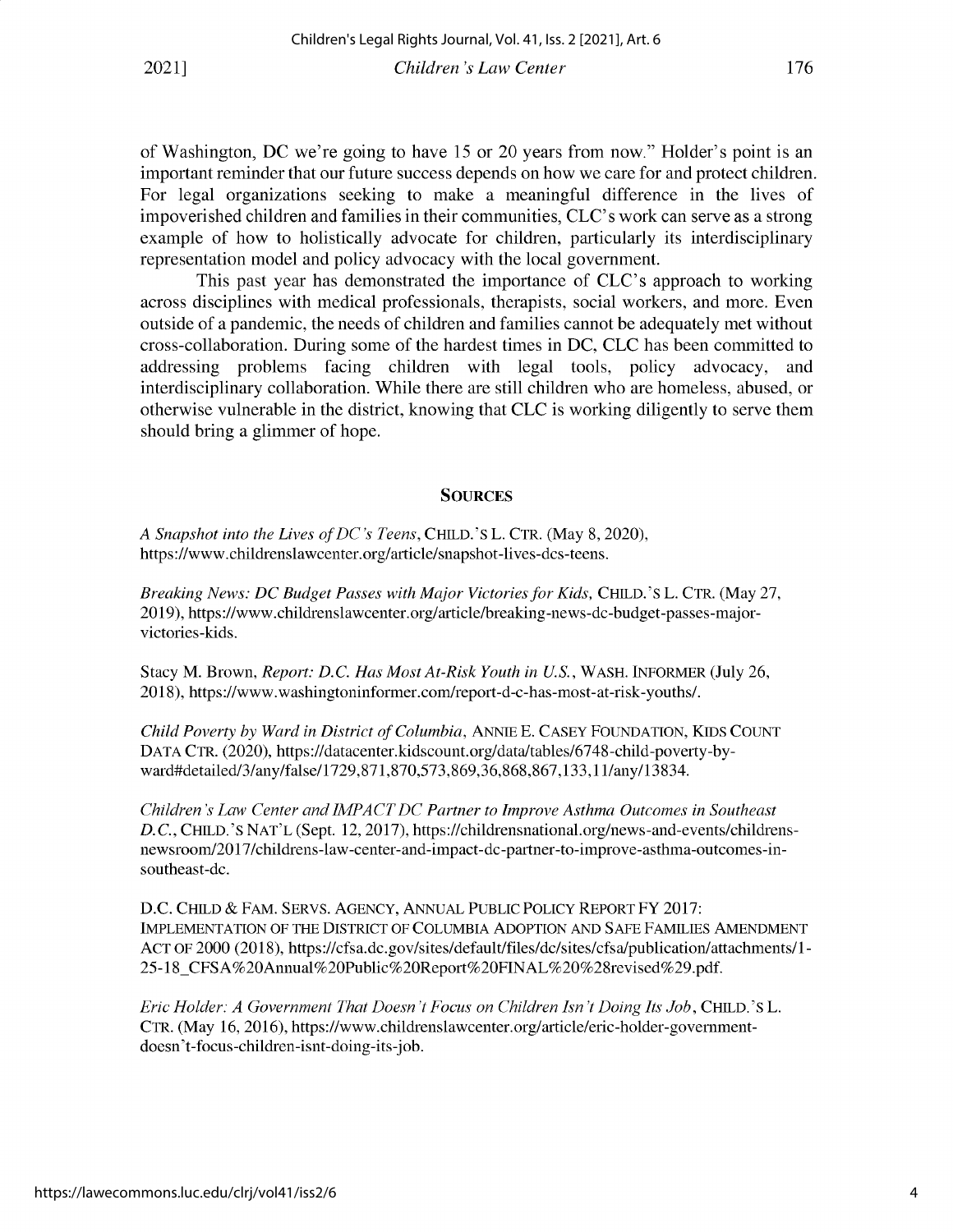of Washington, DC we're going to have 15 or 20 years from now." Holder's point is an important reminder that our future success depends on how we care for and protect children. For legal organizations seeking to make a meaningful difference in the lives of impoverished children and families in their communities, CLC's work can serve as a strong example of how to holistically advocate for children, particularly its interdisciplinary representation model and policy advocacy with the local government.

This past year has demonstrated the importance of CLC's approach to working across disciplines with medical professionals, therapists, social workers, and more. Even outside of a pandemic, the needs of children and families cannot be adequately met without cross-collaboration. During some of the hardest times in DC, CLC has been committed to addressing problems facing children with legal tools, policy advocacy, and interdisciplinary collaboration. While there are still children who are homeless, abused, or otherwise vulnerable in the district, knowing that CLC is working diligently to serve them should bring a glimmer of hope.

#### **SOURCES**

*A Snapshot into the Lives of DC's Teens,* CHILD.'S L. CTR. (May 8, 2020), https ://www. childrenslawcenter. org/article/snapshot-lives-dcs-teens.

*Breaking News: DC Budget Passes with Major Victories for Kids,* CHILD.'S L. CTR. (May 27, 2019), https://www.childrenslawcenter.org/article/breaking-news-dc-budget-passes-majorvictories-kids.

Stacy M. Brown, *Report: D.C. Has Most At-Risk Youth in U.S.,* WASH. INFORMER (July 26, 2018), https://www.washingtoninformer.com/report-d-c-has-most-at-risk-youths/.

*Child Poverty by Ward in District of Columbia,* ANNIE E. CASEY FOUNDATION, KIDS COUNT DATA CTR. (2020), https://datacenter.kidscount.org/data/tables/6748-child-poverty-byward#detailed/3/any/false/1729,871,870,573,869,36,868,867,133,11/any/13834.

*Children's Law Center and IMPACT DC Partner to Improve Asthma Outcomes in Southeast D. C.,* CHILD.'S NAT'L (Sept. 12, 2017), https://childrensnational.org/news-and-events/childrensnewsroom/2017/childrens-law-center-and-impact-dc-partner-to-improve-asthma-outcomes-insoutheast-dc.

D.C. CHILD & FAM. SERVS. AGENCY, ANNUAL PUBLIC POLICY REPORT FY 2017: IMPLEMENTATION OF THE DISTRICT OF COLUMBIA ADOPTION AND SAFE FAMILIES AMENDMENT ACT OF 2000 (2018), https://cfsa.dc.gov/sites/default/files/dc/sites/cfsa/publication/attachments/1- 25-18\_CFSA%20Annual%20Public%20Report%20FINAL%20%28revised%29.pdf.

*Eric Holder: A Government That Doesn't Focus on Children Isn't Doing Its Job,* CHILD.'S L. CTR. (May 16, 2016), https://www.childrenslawcenter.org/article/eric-holder-governmentdoesn't-focus-children-isnt-doing-its-job.